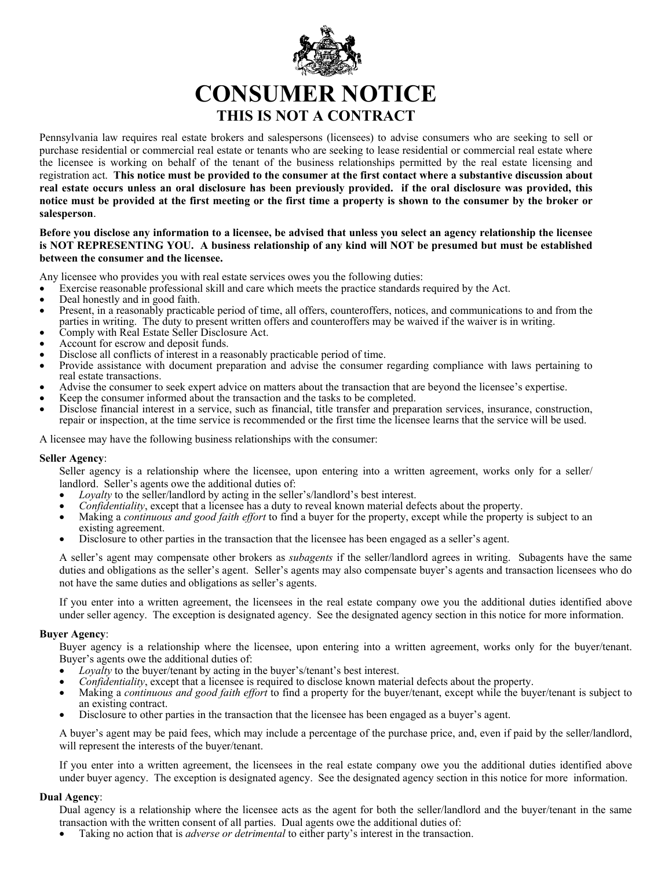

# **CONSUMER NOTICE THIS IS NOT A CONTRACT**

Pennsylvania law requires real estate brokers and salespersons (licensees) to advise consumers who are seeking to sell or purchase residential or commercial real estate or tenants who are seeking to lease residential or commercial real estate where the licensee is working on behalf of the tenant of the business relationships permitted by the real estate licensing and registration act. **This notice must be provided to the consumer at the first contact where a substantive discussion about real estate occurs unless an oral disclosure has been previously provided. if the oral disclosure was provided, this notice must be provided at the first meeting or the first time a property is shown to the consumer by the broker or salesperson**.

### **Before you disclose any information to a licensee, be advised that unless you select an agency relationship the licensee is NOT REPRESENTING YOU. A business relationship of any kind will NOT be presumed but must be established between the consumer and the licensee.**

Any licensee who provides you with real estate services owes you the following duties:

- Exercise reasonable professional skill and care which meets the practice standards required by the Act. Deal honestly and in good faith.
- 
- Present, in a reasonably practicable period of time, all offers, counteroffers, notices, and communications to and from the parties in writing. The duty to present written offers and counteroffers may be waived if the waiver is in writing. Comply with Real Estate Seller Disclosure Act.
- 
- 
- Account for escrow and deposit funds.<br>Disclose all conflicts of interest in a reasonably practicable period of time.
- Provide assistance with document preparation and advise the consumer regarding compliance with laws pertaining to real estate transactions.
- Advise the consumer to seek expert advice on matters about the transaction that are beyond the licensee's expertise.<br>Keep the consumer informed about the transaction and the tasks to be completed.<br>Disclose financial intere
- 
- repair or inspection, at the time service is recommended or the first time the licensee learns that the service will be used.

A licensee may have the following business relationships with the consumer:

#### **Seller Agency**:

Seller agency is a relationship where the licensee, upon entering into a written agreement, works only for a seller/ landlord. Seller's agents owe the additional duties of:

- 
- *Loyalty* to the seller/landlord by acting in the seller's/landlord's best interest.<br>Confidentiality, except that a licensee has a duty to reveal known material defects about the property.
- Making a continuous and good faith effort to find a buyer for the property, except while the property is subject to an existing agreement.
- Disclosure to other parties in the transaction that the licensee has been engaged as a seller's agent.

A seller's agent may compensate other brokers as *subagents* if the seller/landlord agrees in writing. Subagents have the same duties and obligations as the seller's agent. Seller's agents may also compensate buyer's agents and transaction licensees who do not have the same duties and obligations as seller's agents.

If you enter into a written agreement, the licensees in the real estate company owe you the additional duties identified above under seller agency. The exception is designated agency. See the designated agency section in this notice for more information.

#### **Buyer Agency**:

Buyer agency is a relationship where the licensee, upon entering into a written agreement, works only for the buyer/tenant. Buyer's agents owe the additional duties of:<br> $\bullet$  *Lovalty* to the buyer/tenant by acting in the buyer's/tenant's best interest.

- 
- *Confidentiality*, except that a licensee is required to disclose known material defects about the property.
- Making a *continuous and good faith effort* to find a property for the buyer/tenant, except while the buyer/tenant is subject to an existing contract.
- Disclosure to other parties in the transaction that the licensee has been engaged as a buyer's agent.

A buyer's agent may be paid fees, which may include a percentage of the purchase price, and, even if paid by the seller/landlord, will represent the interests of the buyer/tenant.

If you enter into a written agreement, the licensees in the real estate company owe you the additional duties identified above under buyer agency. The exception is designated agency. See the designated agency section in this notice for more information.

#### **Dual Agency**:

Dual agency is a relationship where the licensee acts as the agent for both the seller/landlord and the buyer/tenant in the same transaction with the written consent of all parties. Dual agents owe the additional duties of:

• Taking no action that is *adverse or detrimental* to either party's interest in the transaction.